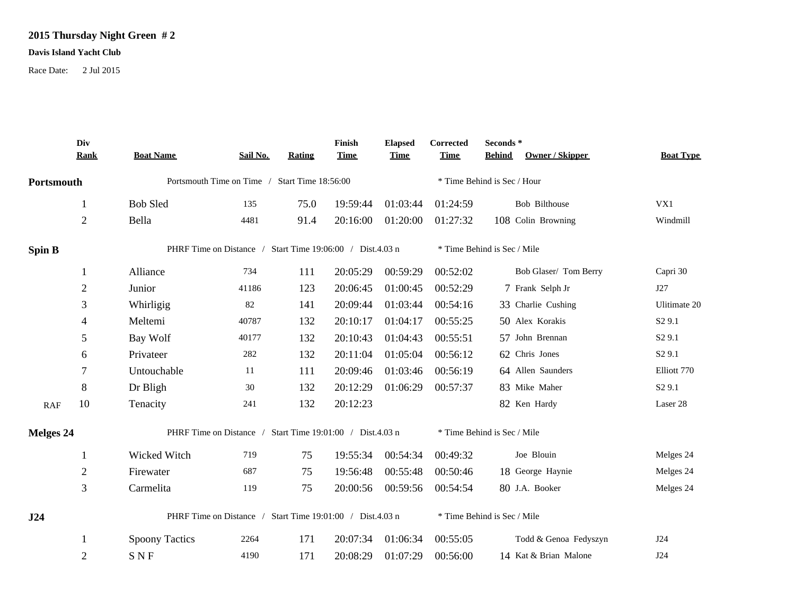## **2015 Thursday Night Green # 2**

## **Davis Island Yacht Club**

Race Date: 2 Jul 2015

|               | Div<br><b>Rank</b>                                        | <b>Boat Name</b>                                          | Sail No. | Rating | Finish<br><b>Time</b> | <b>Elapsed</b><br><b>Time</b> | Corrected<br><b>Time</b>    | Seconds *<br>Owner / Skipper<br><b>Behind</b> | <b>Boat Type</b>   |  |  |
|---------------|-----------------------------------------------------------|-----------------------------------------------------------|----------|--------|-----------------------|-------------------------------|-----------------------------|-----------------------------------------------|--------------------|--|--|
| Portsmouth    |                                                           | Portsmouth Time on Time / Start Time 18:56:00             |          |        |                       |                               |                             | * Time Behind is Sec / Hour                   |                    |  |  |
|               | 1                                                         | <b>Bob Sled</b>                                           | 135      | 75.0   | 19:59:44              | 01:03:44                      | 01:24:59                    | Bob Bilthouse                                 | VX1                |  |  |
|               | $\mathbf{2}$                                              | Bella                                                     | 4481     | 91.4   | 20:16:00              | 01:20:00                      | 01:27:32                    | 108 Colin Browning                            | Windmill           |  |  |
| <b>Spin B</b> |                                                           | PHRF Time on Distance / Start Time 19:06:00 / Dist.4.03 n |          |        |                       |                               | * Time Behind is Sec / Mile |                                               |                    |  |  |
|               | 1                                                         | Alliance                                                  | 734      | 111    | 20:05:29              | 00:59:29                      | 00:52:02                    | Bob Glaser/ Tom Berry                         | Capri 30           |  |  |
|               | $\mathbf{2}$                                              | Junior                                                    | 41186    | 123    | 20:06:45              | 01:00:45                      | 00:52:29                    | 7 Frank Selph Jr                              | J27                |  |  |
|               | 3                                                         | Whirligig                                                 | 82       | 141    | 20:09:44              | 01:03:44                      | 00:54:16                    | 33 Charlie Cushing                            | Ulitimate 20       |  |  |
|               | 4                                                         | Meltemi                                                   | 40787    | 132    | 20:10:17              | 01:04:17                      | 00:55:25                    | 50 Alex Korakis                               | S <sub>2</sub> 9.1 |  |  |
|               | 5                                                         | Bay Wolf                                                  | 40177    | 132    | 20:10:43              | 01:04:43                      | 00:55:51                    | 57 John Brennan                               | S <sub>2</sub> 9.1 |  |  |
|               | 6                                                         | Privateer                                                 | 282      | 132    | 20:11:04              | 01:05:04                      | 00:56:12                    | 62 Chris Jones                                | S <sub>2</sub> 9.1 |  |  |
|               | 7                                                         | Untouchable                                               | 11       | 111    | 20:09:46              | 01:03:46                      | 00:56:19                    | 64 Allen Saunders                             | Elliott 770        |  |  |
|               | 8                                                         | Dr Bligh                                                  | 30       | 132    | 20:12:29              | 01:06:29                      | 00:57:37                    | 83 Mike Maher                                 | S <sub>2</sub> 9.1 |  |  |
| RAF           | 10                                                        | Tenacity                                                  | 241      | 132    | 20:12:23              |                               |                             | 82 Ken Hardy                                  | Laser 28           |  |  |
| Melges 24     |                                                           | PHRF Time on Distance / Start Time 19:01:00 / Dist.4.03 n |          |        |                       |                               |                             | * Time Behind is Sec / Mile                   |                    |  |  |
|               | 1                                                         | Wicked Witch                                              | 719      | 75     | 19:55:34              | 00:54:34                      | 00:49:32                    | Joe Blouin                                    | Melges 24          |  |  |
|               | $\overline{2}$                                            | Firewater                                                 | 687      | 75     | 19:56:48              | 00:55:48                      | 00:50:46                    | 18 George Haynie                              | Melges 24          |  |  |
|               | 3                                                         | Carmelita                                                 | 119      | 75     | 20:00:56              | 00:59:56                      | 00:54:54                    | 80 J.A. Booker                                | Melges 24          |  |  |
| J24           | PHRF Time on Distance / Start Time 19:01:00 / Dist.4.03 n |                                                           |          |        |                       | * Time Behind is Sec / Mile   |                             |                                               |                    |  |  |
|               |                                                           | <b>Spoony Tactics</b>                                     | 2264     | 171    | 20:07:34              | 01:06:34                      | 00:55:05                    | Todd & Genoa Fedyszyn                         | J24                |  |  |
|               | $\overline{2}$                                            | <b>SNF</b>                                                | 4190     | 171    | 20:08:29              | 01:07:29                      | 00:56:00                    | 14 Kat & Brian Malone                         | J24                |  |  |